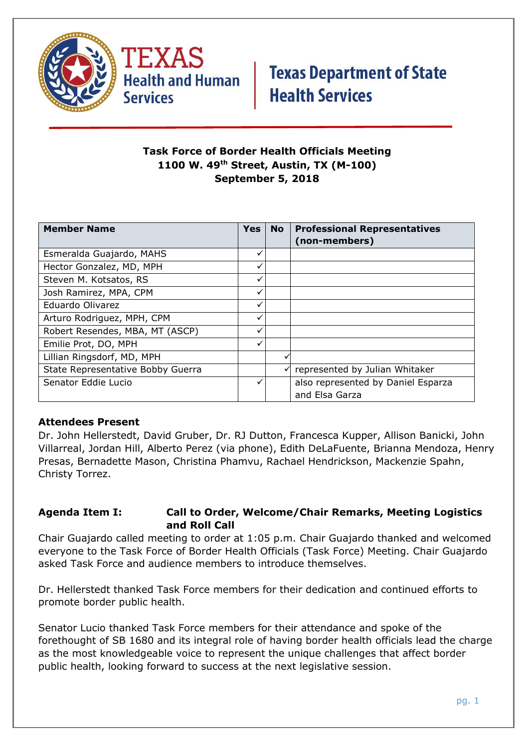



### **Task Force of Border Health Officials Meeting 1100 W. 49th Street, Austin, TX (M-100) September 5, 2018**

| <b>Member Name</b>                | Yes | <b>No</b> | <b>Professional Representatives</b> |
|-----------------------------------|-----|-----------|-------------------------------------|
|                                   |     |           | (non-members)                       |
| Esmeralda Guajardo, MAHS          | ✓   |           |                                     |
| Hector Gonzalez, MD, MPH          | ✓   |           |                                     |
| Steven M. Kotsatos, RS            |     |           |                                     |
| Josh Ramirez, MPA, CPM            |     |           |                                     |
| Eduardo Olivarez                  | ✓   |           |                                     |
| Arturo Rodriguez, MPH, CPM        |     |           |                                     |
| Robert Resendes, MBA, MT (ASCP)   |     |           |                                     |
| Emilie Prot, DO, MPH              | ✓   |           |                                     |
| Lillian Ringsdorf, MD, MPH        |     |           |                                     |
| State Representative Bobby Guerra |     | ✓         | represented by Julian Whitaker      |
| Senator Eddie Lucio               |     |           | also represented by Daniel Esparza  |
|                                   |     |           | and Elsa Garza                      |

### **Attendees Present**

Dr. John Hellerstedt, David Gruber, Dr. RJ Dutton, Francesca Kupper, Allison Banicki, John Villarreal, Jordan Hill, Alberto Perez (via phone), Edith DeLaFuente, Brianna Mendoza, Henry Presas, Bernadette Mason, Christina Phamvu, Rachael Hendrickson, Mackenzie Spahn, Christy Torrez.

#### **Agenda Item I: Call to Order, Welcome/Chair Remarks, Meeting Logistics and Roll Call**

Chair Guajardo called meeting to order at 1:05 p.m. Chair Guajardo thanked and welcomed everyone to the Task Force of Border Health Officials (Task Force) Meeting. Chair Guajardo asked Task Force and audience members to introduce themselves.

Dr. Hellerstedt thanked Task Force members for their dedication and continued efforts to promote border public health.

Senator Lucio thanked Task Force members for their attendance and spoke of the forethought of SB 1680 and its integral role of having border health officials lead the charge as the most knowledgeable voice to represent the unique challenges that affect border public health, looking forward to success at the next legislative session.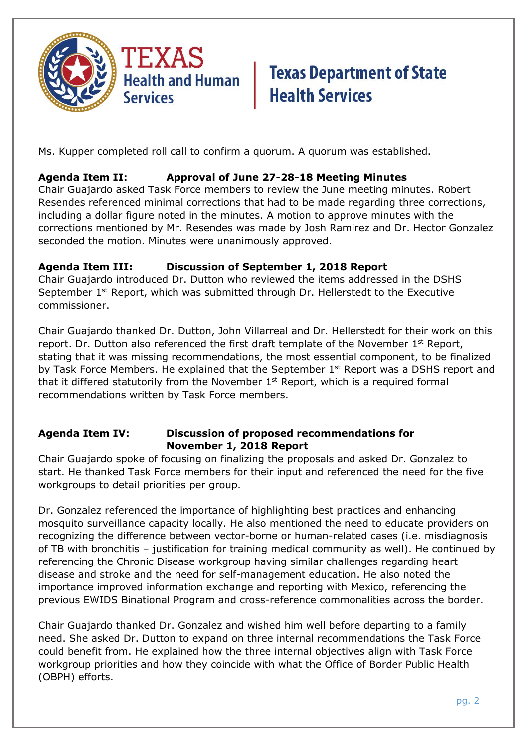

Ms. Kupper completed roll call to confirm a quorum. A quorum was established.

## **Agenda Item II: Approval of June 27-28-18 Meeting Minutes**

Chair Guajardo asked Task Force members to review the June meeting minutes. Robert Resendes referenced minimal corrections that had to be made regarding three corrections, including a dollar figure noted in the minutes. A motion to approve minutes with the corrections mentioned by Mr. Resendes was made by Josh Ramirez and Dr. Hector Gonzalez seconded the motion. Minutes were unanimously approved.

## **Agenda Item III: Discussion of September 1, 2018 Report**

Chair Guajardo introduced Dr. Dutton who reviewed the items addressed in the DSHS September 1<sup>st</sup> Report, which was submitted through Dr. Hellerstedt to the Executive commissioner.

Chair Guajardo thanked Dr. Dutton, John Villarreal and Dr. Hellerstedt for their work on this report. Dr. Dutton also referenced the first draft template of the November  $1<sup>st</sup>$  Report, stating that it was missing recommendations, the most essential component, to be finalized by Task Force Members. He explained that the September  $1<sup>st</sup>$  Report was a DSHS report and that it differed statutorily from the November  $1<sup>st</sup>$  Report, which is a required formal recommendations written by Task Force members.

## **Agenda Item IV: Discussion of proposed recommendations for November 1, 2018 Report**

Chair Guajardo spoke of focusing on finalizing the proposals and asked Dr. Gonzalez to start. He thanked Task Force members for their input and referenced the need for the five workgroups to detail priorities per group.

Dr. Gonzalez referenced the importance of highlighting best practices and enhancing mosquito surveillance capacity locally. He also mentioned the need to educate providers on recognizing the difference between vector-borne or human-related cases (i.e. misdiagnosis of TB with bronchitis – justification for training medical community as well). He continued by referencing the Chronic Disease workgroup having similar challenges regarding heart disease and stroke and the need for self-management education. He also noted the importance improved information exchange and reporting with Mexico, referencing the previous EWIDS Binational Program and cross-reference commonalities across the border.

Chair Guajardo thanked Dr. Gonzalez and wished him well before departing to a family need. She asked Dr. Dutton to expand on three internal recommendations the Task Force could benefit from. He explained how the three internal objectives align with Task Force workgroup priorities and how they coincide with what the Office of Border Public Health (OBPH) efforts.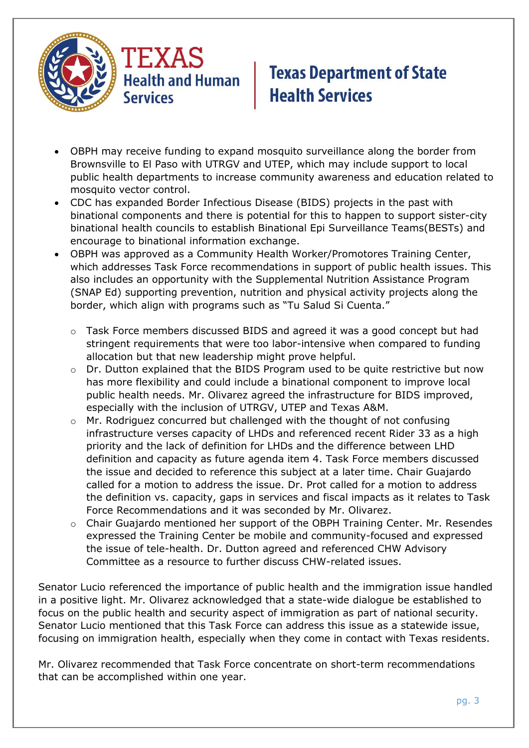

- OBPH may receive funding to expand mosquito surveillance along the border from Brownsville to El Paso with UTRGV and UTEP, which may include support to local public health departments to increase community awareness and education related to mosquito vector control.
- CDC has expanded Border Infectious Disease (BIDS) projects in the past with binational components and there is potential for this to happen to support sister-city binational health councils to establish Binational Epi Surveillance Teams(BESTs) and encourage to binational information exchange.
- OBPH was approved as a Community Health Worker/Promotores Training Center, which addresses Task Force recommendations in support of public health issues. This also includes an opportunity with the Supplemental Nutrition Assistance Program (SNAP Ed) supporting prevention, nutrition and physical activity projects along the border, which align with programs such as "Tu Salud Si Cuenta."
	- Task Force members discussed BIDS and agreed it was a good concept but had stringent requirements that were too labor-intensive when compared to funding allocation but that new leadership might prove helpful.
	- $\circ$  Dr. Dutton explained that the BIDS Program used to be quite restrictive but now has more flexibility and could include a binational component to improve local public health needs. Mr. Olivarez agreed the infrastructure for BIDS improved, especially with the inclusion of UTRGV, UTEP and Texas A&M.
	- $\circ$  Mr. Rodriguez concurred but challenged with the thought of not confusing infrastructure verses capacity of LHDs and referenced recent Rider 33 as a high priority and the lack of definition for LHDs and the difference between LHD definition and capacity as future agenda item 4. Task Force members discussed the issue and decided to reference this subject at a later time. Chair Guajardo called for a motion to address the issue. Dr. Prot called for a motion to address the definition vs. capacity, gaps in services and fiscal impacts as it relates to Task Force Recommendations and it was seconded by Mr. Olivarez.
	- o Chair Guajardo mentioned her support of the OBPH Training Center. Mr. Resendes expressed the Training Center be mobile and community-focused and expressed the issue of tele-health. Dr. Dutton agreed and referenced CHW Advisory Committee as a resource to further discuss CHW-related issues.

Senator Lucio referenced the importance of public health and the immigration issue handled in a positive light. Mr. Olivarez acknowledged that a state-wide dialogue be established to focus on the public health and security aspect of immigration as part of national security. Senator Lucio mentioned that this Task Force can address this issue as a statewide issue, focusing on immigration health, especially when they come in contact with Texas residents.

Mr. Olivarez recommended that Task Force concentrate on short-term recommendations that can be accomplished within one year.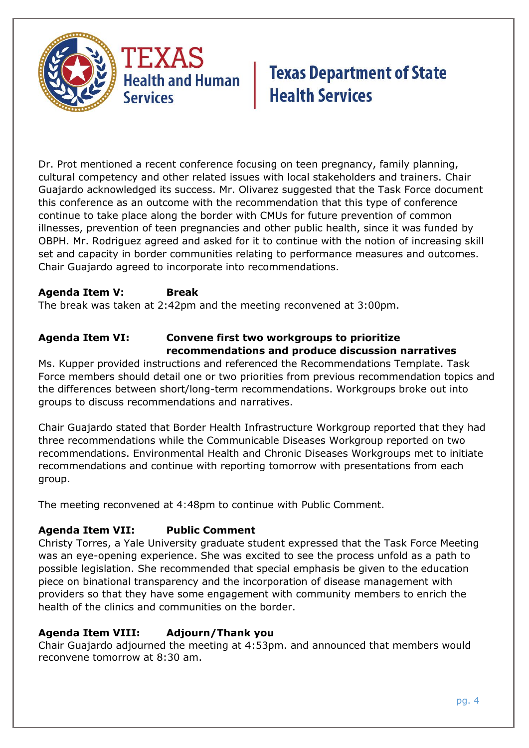

Dr. Prot mentioned a recent conference focusing on teen pregnancy, family planning, cultural competency and other related issues with local stakeholders and trainers. Chair Guajardo acknowledged its success. Mr. Olivarez suggested that the Task Force document this conference as an outcome with the recommendation that this type of conference continue to take place along the border with CMUs for future prevention of common illnesses, prevention of teen pregnancies and other public health, since it was funded by OBPH. Mr. Rodriguez agreed and asked for it to continue with the notion of increasing skill set and capacity in border communities relating to performance measures and outcomes. Chair Guajardo agreed to incorporate into recommendations.

## **Agenda Item V: Break**

The break was taken at 2:42pm and the meeting reconvened at 3:00pm.

#### **Agenda Item VI: Convene first two workgroups to prioritize recommendations and produce discussion narratives**

Ms. Kupper provided instructions and referenced the Recommendations Template. Task Force members should detail one or two priorities from previous recommendation topics and the differences between short/long-term recommendations. Workgroups broke out into groups to discuss recommendations and narratives.

Chair Guajardo stated that Border Health Infrastructure Workgroup reported that they had three recommendations while the Communicable Diseases Workgroup reported on two recommendations. Environmental Health and Chronic Diseases Workgroups met to initiate recommendations and continue with reporting tomorrow with presentations from each group.

The meeting reconvened at 4:48pm to continue with Public Comment.

### **Agenda Item VII: Public Comment**

Christy Torres, a Yale University graduate student expressed that the Task Force Meeting was an eye-opening experience. She was excited to see the process unfold as a path to possible legislation. She recommended that special emphasis be given to the education piece on binational transparency and the incorporation of disease management with providers so that they have some engagement with community members to enrich the health of the clinics and communities on the border.

### **Agenda Item VIII: Adjourn/Thank you**

Chair Guajardo adjourned the meeting at 4:53pm. and announced that members would reconvene tomorrow at 8:30 am.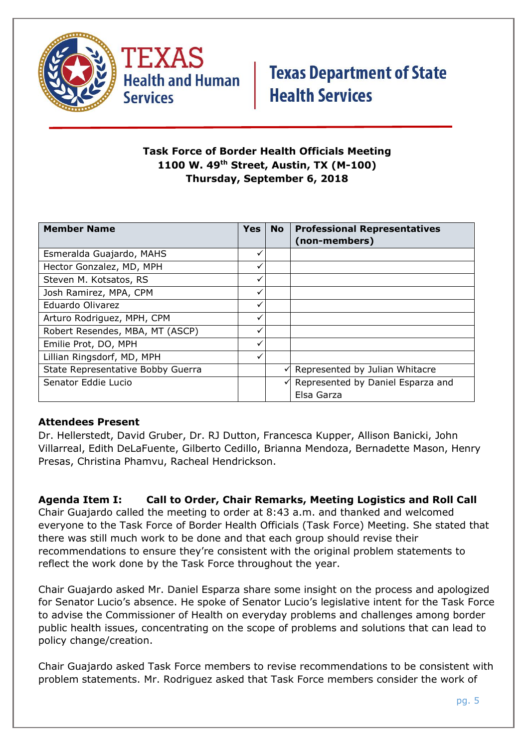



## **Task Force of Border Health Officials Meeting 1100 W. 49th Street, Austin, TX (M-100) Thursday, September 6, 2018**

| <b>Member Name</b>                | <b>Yes</b> | <b>No</b> | <b>Professional Representatives</b> |
|-----------------------------------|------------|-----------|-------------------------------------|
|                                   |            |           | (non-members)                       |
| Esmeralda Guajardo, MAHS          |            |           |                                     |
| Hector Gonzalez, MD, MPH          | ✓          |           |                                     |
| Steven M. Kotsatos, RS            |            |           |                                     |
| Josh Ramirez, MPA, CPM            |            |           |                                     |
| Eduardo Olivarez                  | ✓          |           |                                     |
| Arturo Rodriguez, MPH, CPM        |            |           |                                     |
| Robert Resendes, MBA, MT (ASCP)   |            |           |                                     |
| Emilie Prot, DO, MPH              | ✓          |           |                                     |
| Lillian Ringsdorf, MD, MPH        |            |           |                                     |
| State Representative Bobby Guerra |            | ✓         | Represented by Julian Whitacre      |
| Senator Eddie Lucio               |            | ✓         | Represented by Daniel Esparza and   |
|                                   |            |           | Elsa Garza                          |

### **Attendees Present**

Dr. Hellerstedt, David Gruber, Dr. RJ Dutton, Francesca Kupper, Allison Banicki, John Villarreal, Edith DeLaFuente, Gilberto Cedillo, Brianna Mendoza, Bernadette Mason, Henry Presas, Christina Phamvu, Racheal Hendrickson.

**Agenda Item I: Call to Order, Chair Remarks, Meeting Logistics and Roll Call** Chair Guajardo called the meeting to order at 8:43 a.m. and thanked and welcomed everyone to the Task Force of Border Health Officials (Task Force) Meeting. She stated that there was still much work to be done and that each group should revise their recommendations to ensure they're consistent with the original problem statements to reflect the work done by the Task Force throughout the year.

Chair Guajardo asked Mr. Daniel Esparza share some insight on the process and apologized for Senator Lucio's absence. He spoke of Senator Lucio's legislative intent for the Task Force to advise the Commissioner of Health on everyday problems and challenges among border public health issues, concentrating on the scope of problems and solutions that can lead to policy change/creation.

Chair Guajardo asked Task Force members to revise recommendations to be consistent with problem statements. Mr. Rodriguez asked that Task Force members consider the work of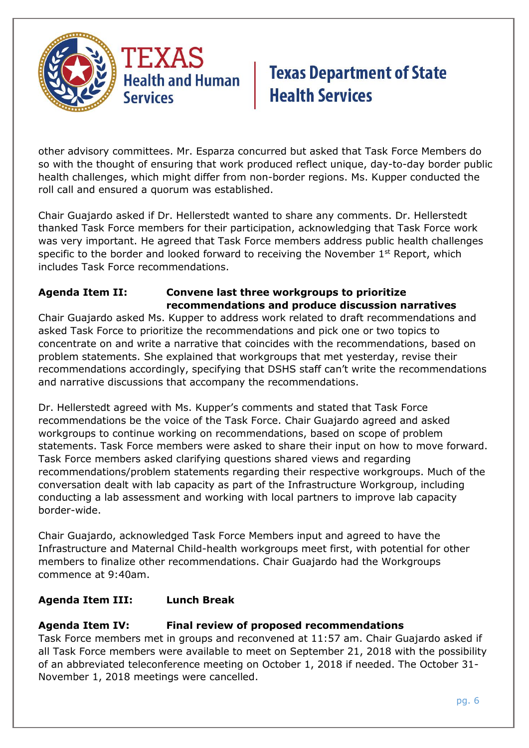

other advisory committees. Mr. Esparza concurred but asked that Task Force Members do so with the thought of ensuring that work produced reflect unique, day-to-day border public health challenges, which might differ from non-border regions. Ms. Kupper conducted the roll call and ensured a quorum was established.

Chair Guajardo asked if Dr. Hellerstedt wanted to share any comments. Dr. Hellerstedt thanked Task Force members for their participation, acknowledging that Task Force work was very important. He agreed that Task Force members address public health challenges specific to the border and looked forward to receiving the November  $1<sup>st</sup>$  Report, which includes Task Force recommendations.

## **Agenda Item II: Convene last three workgroups to prioritize recommendations and produce discussion narratives**

Chair Guajardo asked Ms. Kupper to address work related to draft recommendations and asked Task Force to prioritize the recommendations and pick one or two topics to concentrate on and write a narrative that coincides with the recommendations, based on problem statements. She explained that workgroups that met yesterday, revise their recommendations accordingly, specifying that DSHS staff can't write the recommendations and narrative discussions that accompany the recommendations.

Dr. Hellerstedt agreed with Ms. Kupper's comments and stated that Task Force recommendations be the voice of the Task Force. Chair Guajardo agreed and asked workgroups to continue working on recommendations, based on scope of problem statements. Task Force members were asked to share their input on how to move forward. Task Force members asked clarifying questions shared views and regarding recommendations/problem statements regarding their respective workgroups. Much of the conversation dealt with lab capacity as part of the Infrastructure Workgroup, including conducting a lab assessment and working with local partners to improve lab capacity border-wide.

Chair Guajardo, acknowledged Task Force Members input and agreed to have the Infrastructure and Maternal Child-health workgroups meet first, with potential for other members to finalize other recommendations. Chair Guajardo had the Workgroups commence at 9:40am.

## **Agenda Item III: Lunch Break**

### **Agenda Item IV: Final review of proposed recommendations**

Task Force members met in groups and reconvened at 11:57 am. Chair Guajardo asked if all Task Force members were available to meet on September 21, 2018 with the possibility of an abbreviated teleconference meeting on October 1, 2018 if needed. The October 31- November 1, 2018 meetings were cancelled.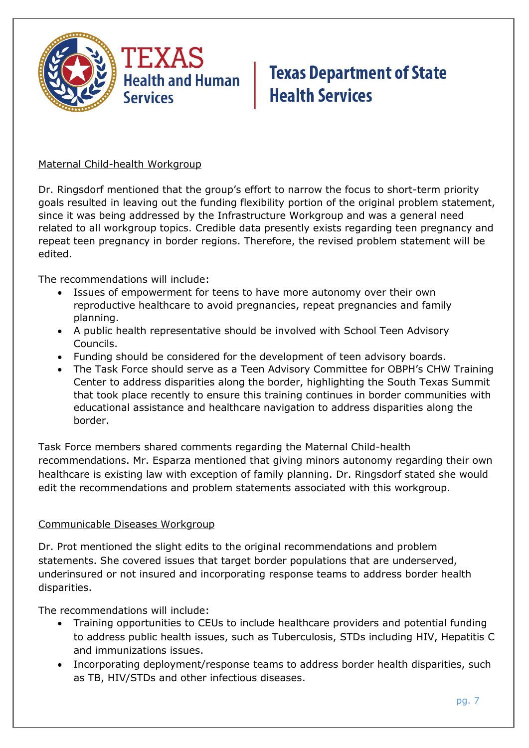

#### Maternal Child-health Workgroup

Dr. Ringsdorf mentioned that the group's effort to narrow the focus to short-term priority goals resulted in leaving out the funding flexibility portion of the original problem statement, since it was being addressed by the Infrastructure Workgroup and was a general need related to all workgroup topics. Credible data presently exists regarding teen pregnancy and repeat teen pregnancy in border regions. Therefore, the revised problem statement will be edited.

The recommendations will include:

- Issues of empowerment for teens to have more autonomy over their own reproductive healthcare to avoid pregnancies, repeat pregnancies and family planning.
- A public health representative should be involved with School Teen Advisory Councils.
- Funding should be considered for the development of teen advisory boards.
- The Task Force should serve as a Teen Advisory Committee for OBPH's CHW Training Center to address disparities along the border, highlighting the South Texas Summit that took place recently to ensure this training continues in border communities with educational assistance and healthcare navigation to address disparities along the border.

Task Force members shared comments regarding the Maternal Child-health recommendations. Mr. Esparza mentioned that giving minors autonomy regarding their own healthcare is existing law with exception of family planning. Dr. Ringsdorf stated she would edit the recommendations and problem statements associated with this workgroup.

#### Communicable Diseases Workgroup

Dr. Prot mentioned the slight edits to the original recommendations and problem statements. She covered issues that target border populations that are underserved, underinsured or not insured and incorporating response teams to address border health disparities.

The recommendations will include:

- Training opportunities to CEUs to include healthcare providers and potential funding to address public health issues, such as Tuberculosis, STDs including HIV, Hepatitis C and immunizations issues.
- Incorporating deployment/response teams to address border health disparities, such as TB, HIV/STDs and other infectious diseases.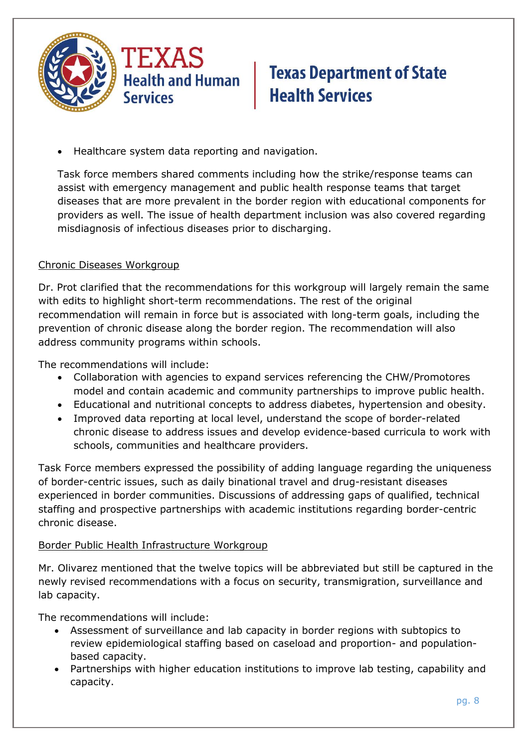

Healthcare system data reporting and navigation.

Task force members shared comments including how the strike/response teams can assist with emergency management and public health response teams that target diseases that are more prevalent in the border region with educational components for providers as well. The issue of health department inclusion was also covered regarding misdiagnosis of infectious diseases prior to discharging.

### Chronic Diseases Workgroup

Dr. Prot clarified that the recommendations for this workgroup will largely remain the same with edits to highlight short-term recommendations. The rest of the original recommendation will remain in force but is associated with long-term goals, including the prevention of chronic disease along the border region. The recommendation will also address community programs within schools.

The recommendations will include:

- Collaboration with agencies to expand services referencing the CHW/Promotores model and contain academic and community partnerships to improve public health.
- Educational and nutritional concepts to address diabetes, hypertension and obesity.
- Improved data reporting at local level, understand the scope of border-related chronic disease to address issues and develop evidence-based curricula to work with schools, communities and healthcare providers.

Task Force members expressed the possibility of adding language regarding the uniqueness of border-centric issues, such as daily binational travel and drug-resistant diseases experienced in border communities. Discussions of addressing gaps of qualified, technical staffing and prospective partnerships with academic institutions regarding border-centric chronic disease.

### Border Public Health Infrastructure Workgroup

Mr. Olivarez mentioned that the twelve topics will be abbreviated but still be captured in the newly revised recommendations with a focus on security, transmigration, surveillance and lab capacity.

The recommendations will include:

- Assessment of surveillance and lab capacity in border regions with subtopics to review epidemiological staffing based on caseload and proportion- and populationbased capacity.
- Partnerships with higher education institutions to improve lab testing, capability and capacity.